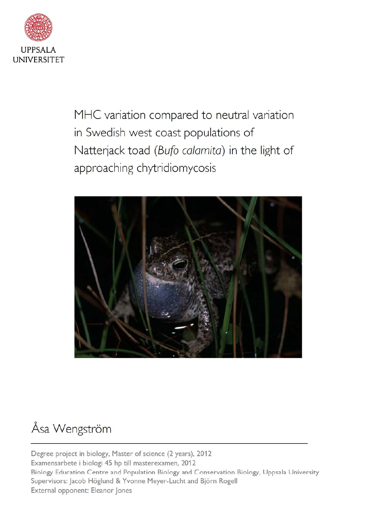

MHC variation compared to neutral variation in Swedish west coast populations of Natterjack toad (Bufo calamita) in the light of approaching chytridiomycosis



### Åsa Wengström

Degree project in biology, Master of science (2 years), 2012 Examensarbete i biologi 45 hp till masterexamen, 2012 Biology Education Centre and Population Biology and Conservation Biology, Uppsala University Supervisors: Jacob Höglund & Yvonne Meyer-Lucht and Björn Rogell External opponent: Eleanor Jones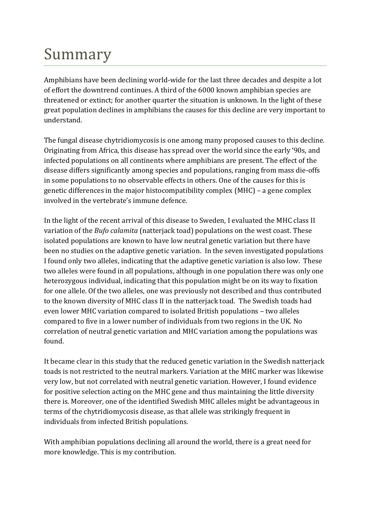# Summary

Amphibians have been declining world-wide for the last three decades and despite a lot of effort the downtrend continues. A third of the 6000 known amphibian species are threatened or extinct; for another quarter the situation is unknown. In the light of these great population declines in amphibians the causes for this decline are very important to understand.

The fungal disease chytridiomycosis is one among many proposed causes to this decline. Originating from Africa, this disease has spread over the world since the early '90s, and infected populations on all continents where amphibians are present. The effect of the disease differs significantly among species and populations, ranging from mass die-offs in some populations to no observable effects in others. One of the causes for this is genetic differences in the major histocompatibility complex (MHC) – a gene complex involved in the vertebrate's immune defence.

In the light of the recent arrival of this disease to Sweden, I evaluated the MHC class II variation of the *Bufo calamita* (natterjack toad) populations on the west coast. These isolated populations are known to have low neutral genetic variation but there have been no studies on the adaptive genetic variation. In the seven investigated populations I found only two alleles, indicating that the adaptive genetic variation is also low. These two alleles were found in all populations, although in one population there was only one heterozygous individual, indicating that this population might be on its way to fixation for one allele. Of the two alleles, one was previously not described and thus contributed to the known diversity of MHC class II in the natterjack toad. The Swedish toads had even lower MHC variation compared to isolated British populations – two alleles compared to five in a lower number of individuals from two regions in the UK. No correlation of neutral genetic variation and MHC variation among the populations was found.

It became clear in this study that the reduced genetic variation in the Swedish natterjack toads is not restricted to the neutral markers. Variation at the MHC marker was likewise very low, but not correlated with neutral genetic variation. However, I found evidence for positive selection acting on the MHC gene and thus maintaining the little diversity there is. Moreover, one of the identified Swedish MHC alleles might be advantageous in terms of the chytridiomycosis disease, as that allele was strikingly frequent in individuals from infected British populations.

With amphibian populations declining all around the world, there is a great need for more knowledge. This is my contribution.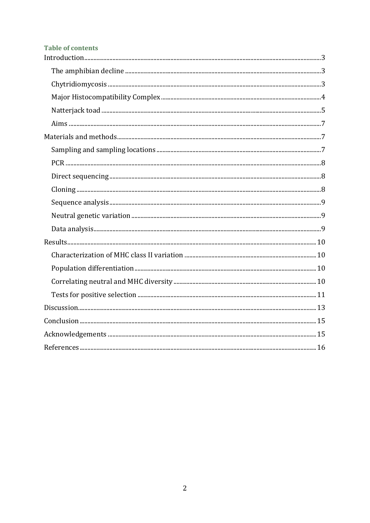#### **Table of contents**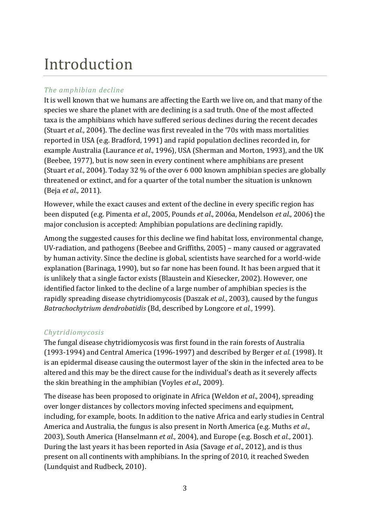## <span id="page-3-0"></span>Introduction

#### <span id="page-3-1"></span>*The amphibian decline*

It is well known that we humans are affecting the Earth we live on, and that many of the species we share the planet with are declining is a sad truth. One of the most affected taxa is the amphibians which have suffered serious declines during the recent decades (Stuart *et al.*, 2004). The decline was first revealed in the '70s with mass mortalities reported in USA (e.g. Bradford, 1991) and rapid population declines recorded in, for example Australia (Laurance *et al*., 1996), USA (Sherman and Morton, 1993), and the UK (Beebee, 1977), but is now seen in every continent where amphibians are present (Stuart *et al.*, 2004). Today 32 % of the over 6 000 known amphibian species are globally threatened or extinct, and for a quarter of the total number the situation is unknown (Beja *et al*., 2011).

However, while the exact causes and extent of the decline in every specific region has been disputed (e.g. Pimenta *et al.*, 2005, Pounds *et al*., 2006a, Mendelson *et al*., 2006) the major conclusion is accepted: Amphibian populations are declining rapidly.

Among the suggested causes for this decline we find habitat loss, environmental change, UV-radiation, and pathogens (Beebee and Griffiths, 2005) – many caused or aggravated by human activity. Since the decline is global, scientists have searched for a world-wide explanation (Barinaga, 1990), but so far none has been found. It has been argued that it is unlikely that a single factor exists (Blaustein and Kiesecker, 2002). However, one identified factor linked to the decline of a large number of amphibian species is the rapidly spreading disease chytridiomycosis (Daszak *et al.*, 2003), caused by the fungus *Batrachochytrium dendrobatidis* (Bd, described by Longcore *et al.*, 1999).

#### <span id="page-3-2"></span>*Chytridiomycosis*

The fungal disease chytridiomycosis was first found in the rain forests of Australia (1993-1994) and Central America (1996-1997) and described by Berger *et al*. (1998). It is an epidermal disease causing the outermost layer of the skin in the infected area to be altered and this may be the direct cause for the individual's death as it severely affects the skin breathing in the amphibian (Voyles *et al*., 2009).

The disease has been proposed to originate in Africa (Weldon *et al*., 2004), spreading over longer distances by collectors moving infected specimens and equipment, including, for example, boots. In addition to the native Africa and early studies in Central America and Australia, the fungus is also present in North America (e.g. Muths *et al*., 2003), South America (Hanselmann *et al.*, 2004), and Europe (e.g. Bosch *et al*., 2001). During the last years it has been reported in Asia (Savage *et al*., 2012), and is thus present on all continents with amphibians. In the spring of 2010, it reached Sweden (Lundquist and Rudbeck, 2010).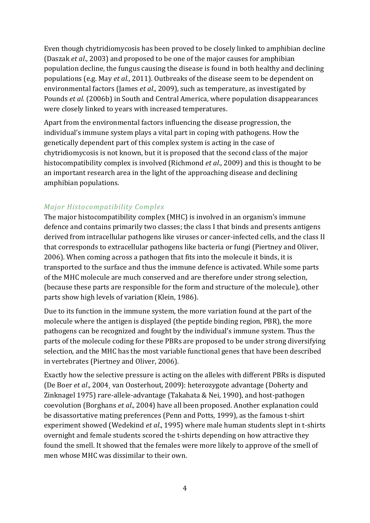Even though chytridiomycosis has been proved to be closely linked to amphibian decline (Daszak *et al*., 2003) and proposed to be one of the major causes for amphibian population decline, the fungus causing the disease is found in both healthy and declining populations (e.g. May *et al*., 2011). Outbreaks of the disease seem to be dependent on environmental factors (James *et al*., 2009), such as temperature, as investigated by Pounds *et al*. (2006b) in South and Central America, where population disappearances were closely linked to years with increased temperatures.

Apart from the environmental factors influencing the disease progression, the individual's immune system plays a vital part in coping with pathogens. How the genetically dependent part of this complex system is acting in the case of chytridiomycosis is not known, but it is proposed that the second class of the major histocompatibility complex is involved (Richmond *et al*., 2009) and this is thought to be an important research area in the light of the approaching disease and declining amphibian populations.

#### <span id="page-4-0"></span>*Major Histocompatibility Complex*

The major histocompatibility complex (MHC) is involved in an organism's immune defence and contains primarily two classes; the class I that binds and presents antigens derived from intracellular pathogens like viruses or cancer-infected cells, and the class II that corresponds to extracellular pathogens like bacteria or fungi (Piertney and Oliver, 2006). When coming across a pathogen that fits into the molecule it binds, it is transported to the surface and thus the immune defence is activated. While some parts of the MHC molecule are much conserved and are therefore under strong selection, (because these parts are responsible for the form and structure of the molecule), other parts show high levels of variation (Klein, 1986).

Due to its function in the immune system, the more variation found at the part of the molecule where the antigen is displayed (the peptide binding region, PBR), the more pathogens can be recognized and fought by the individual's immune system. Thus the parts of the molecule coding for these PBRs are proposed to be under strong diversifying selection, and the MHC has the most variable functional genes that have been described in vertebrates (Piertney and Oliver, 2006).

Exactly how the selective pressure is acting on the alleles with different PBRs is disputed (De Boer *et al*., 2004¸ van Oosterhout, 2009): heterozygote advantage (Doherty and Zinknagel 1975) rare-allele-advantage (Takahata & Nei, 1990), and host-pathogen coevolution (Borghans *et al*., 2004) have all been proposed. Another explanation could be disassortative mating preferences (Penn and Potts, 1999), as the famous t-shirt experiment showed (Wedekind *et al*., 1995) where male human students slept in t-shirts overnight and female students scored the t-shirts depending on how attractive they found the smell. It showed that the females were more likely to approve of the smell of men whose MHC was dissimilar to their own.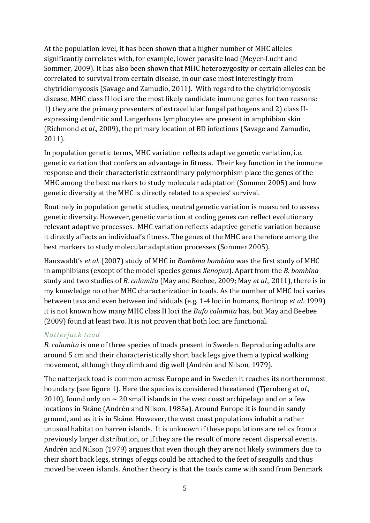At the population level, it has been shown that a higher number of MHC alleles significantly correlates with, for example, lower parasite load (Meyer-Lucht and Sommer, 2009). It has also been shown that MHC heterozygosity or certain alleles can be correlated to survival from certain disease, in our case most interestingly from chytridiomycosis (Savage and Zamudio, 2011). With regard to the chytridiomycosis disease, MHC class II loci are the most likely candidate immune genes for two reasons: 1) they are the primary presenters of extracellular fungal pathogens and 2) class IIexpressing dendritic and Langerhans lymphocytes are present in amphibian skin (Richmond *et al*., 2009), the primary location of BD infections (Savage and Zamudio, 2011).

In population genetic terms, MHC variation reflects adaptive genetic variation, i.e. genetic variation that confers an advantage in fitness. Their key function in the immune response and their characteristic extraordinary polymorphism place the genes of the MHC among the best markers to study molecular adaptation (Sommer 2005) and how genetic diversity at the MHC is directly related to a species' survival.

Routinely in population genetic studies, neutral genetic variation is measured to assess genetic diversity. However, genetic variation at coding genes can reflect evolutionary relevant adaptive processes. MHC variation reflects adaptive genetic variation because it directly affects an individual's fitness. The genes of the MHC are therefore among the best markers to study molecular adaptation processes (Sommer 2005).

Hauswaldt's *et al*. (2007) study of MHC in *Bombina bombina* was the first study of MHC in amphibians (except of the model species genus *Xenopus*). Apart from the *B. bombina* study and two studies of *B. calamita* (May and Beebee, 2009; May *et al*., 2011), there is in my knowledge no other MHC characterization in toads. As the number of MHC loci varies between taxa and even between individuals (e.g. 1-4 loci in humans, Bontrop *et al*. 1999) it is not known how many MHC class II loci the *Bufo calamita* has, but May and Beebee (2009) found at least two. It is not proven that both loci are functional.

#### <span id="page-5-0"></span>*Natterjack toad*

*B. calamita* is one of three species of toads present in Sweden. Reproducing adults are around 5 cm and their characteristically short back legs give them a typical walking movement, although they climb and dig well (Andrén and Nilson, 1979).

The natterjack toad is common across Europe and in Sweden it reaches its northernmost boundary (see figure 1). Here the species is considered threatened (Tjernberg *et al*., 2010), found only on  $\sim$  20 small islands in the west coast archipelago and on a few locations in Skåne (Andrén and Nilson, 1985a). Around Europe it is found in sandy ground, and as it is in Skåne. However, the west coast populations inhabit a rather unusual habitat on barren islands. It is unknown if these populations are relics from a previously larger distribution, or if they are the result of more recent dispersal events. Andrén and Nilson (1979) argues that even though they are not likely swimmers due to their short back legs, strings of eggs could be attached to the feet of seagulls and thus moved between islands. Another theory is that the toads came with sand from Denmark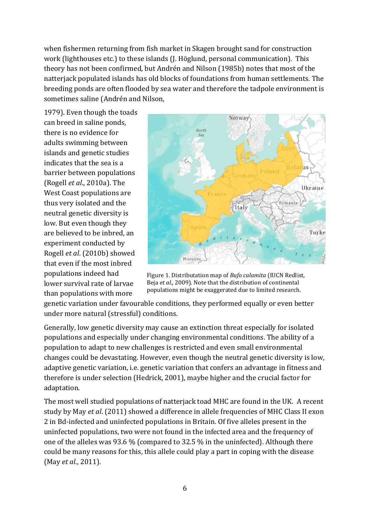when fishermen returning from fish market in Skagen brought sand for construction work (lighthouses etc.) to these islands (J. Höglund, personal communication). This theory has not been confirmed, but Andrén and Nilson (1985b) notes that most of the natterjack populated islands has old blocks of foundations from human settlements. The breeding ponds are often flooded by sea water and therefore the tadpole environment is sometimes saline (Andrén and Nilson,

1979). Even though the toads can breed in saline ponds, there is no evidence for adults swimming between islands and genetic studies indicates that the sea is a barrier between populations (Rogell *et al*., 2010a). The West Coast populations are thus very isolated and the neutral genetic diversity is low. But even though they are believed to be inbred, an experiment conducted by Rogell *et al*. (2010b) showed that even if the most inbred populations indeed had lower survival rate of larvae than populations with more



Figure 1. Distributation map of *Bufo calamita* (IUCN Redlist, Beja *et al*., 2009). Note that the distribution of continental populations might be exaggerated due to limited research.

genetic variation under favourable conditions, they performed equally or even better under more natural (stressful) conditions.

Generally, low genetic diversity may cause an extinction threat especially for isolated populations and especially under changing environmental conditions. The ability of a population to adapt to new challenges is restricted and even small environmental changes could be devastating. However, even though the neutral genetic diversity is low, adaptive genetic variation, i.e. genetic variation that confers an advantage in fitness and therefore is under selection (Hedrick, 2001), maybe higher and the crucial factor for adaptation.

The most well studied populations of natterjack toad MHC are found in the UK. A recent study by May *et al*. (2011) showed a difference in allele frequencies of MHC Class II exon 2 in Bd-infected and uninfected populations in Britain. Of five alleles present in the uninfected populations, two were not found in the infected area and the frequency of one of the alleles was 93.6 % (compared to 32.5 % in the uninfected). Although there could be many reasons for this, this allele could play a part in coping with the disease (May *et al*., 2011).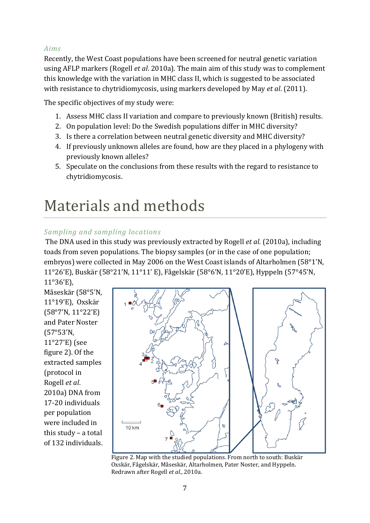#### <span id="page-7-0"></span>*Aims*

Recently, the West Coast populations have been screened for neutral genetic variation using AFLP markers (Rogell *et al*. 2010a). The main aim of this study was to complement this knowledge with the variation in MHC class II, which is suggested to be associated with resistance to chytridiomycosis, using markers developed by May *et al*. (2011).

The specific objectives of my study were:

- 1. Assess MHC class II variation and compare to previously known (British) results.
- 2. On population level: Do the Swedish populations differ in MHC diversity?
- 3. Is there a correlation between neutral genetic diversity and MHC diversity?
- 4. If previously unknown alleles are found, how are they placed in a phylogeny with previously known alleles?
- 5. Speculate on the conclusions from these results with the regard to resistance to chytridiomycosis.

### <span id="page-7-1"></span>Materials and methods

#### <span id="page-7-2"></span>*Sampling and sampling locations*

The DNA used in this study was previously extracted by Rogell *et al*. (2010a), including toads from seven populations. The biopsy samples (or in the case of one population; embryos) were collected in May 2006 on the West Coast islands of Altarholmen (58°1'N, 11°26'E), Buskär (58°21'N, 11°11' E), Fågelskär (58°6'N, 11°20'E), Hyppeln (57°45'N, 11°36'E),

Måseskär (58°5'N, 11°19'E), Oxskär (58°7'N, 11°22'E) and Pater Noster (57°53'N, 11°27'E) (see figure 2). Of the extracted samples (protocol in Rogell *et al*. 2010a) DNA from 17-20 individuals per population were included in this study – a total of 132 individuals.



Figure 2. Map with the studied populations. From north to south: Buskär Oxskär, Fågelskär, Måseskär, Altarholmen, Pater Noster, and Hyppeln. Redrawn after Rogell *et al*., 2010a.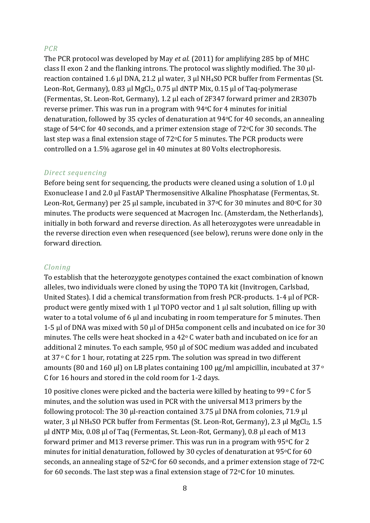#### <span id="page-8-0"></span>*PCR*

The PCR protocol was developed by May *et al*. (2011) for amplifying 285 bp of MHC class II exon 2 and the flanking introns. The protocol was slightly modified. The 30 μlreaction contained 1.6 μl DNA, 21.2 μl water, 3 μl NH4SO PCR buffer from Fermentas (St. Leon-Rot, Germany), 0.83 μl MgCl2, 0.75 μl dNTP Mix, 0.15 μl of Taq-polymerase (Fermentas, St. Leon-Rot, Germany), 1.2 μl each of 2F347 forward primer and 2R307b reverse primer. This was run in a program with 94°C for 4 minutes for initial denaturation, followed by 35 cycles of denaturation at 94°C for 40 seconds, an annealing stage of 54°C for 40 seconds, and a primer extension stage of 72°C for 30 seconds. The last step was a final extension stage of 72°C for 5 minutes. The PCR products were controlled on a 1.5% agarose gel in 40 minutes at 80 Volts electrophoresis.

#### <span id="page-8-1"></span>*Direct sequencing*

Before being sent for sequencing, the products were cleaned using a solution of 1.0 μl Exonuclease I and 2.0 μl FastAP Thermosensitive Alkaline Phosphatase (Fermentas, St. Leon-Rot, Germany) per 25 μl sample, incubated in 37°C for 30 minutes and 80°C for 30 minutes. The products were sequenced at Macrogen Inc. (Amsterdam, the Netherlands), initially in both forward and reverse direction. As all heterozygotes were unreadable in the reverse direction even when resequenced (see below), reruns were done only in the forward direction.

#### <span id="page-8-2"></span>*Cloning*

To establish that the heterozygote genotypes contained the exact combination of known alleles, two individuals were cloned by using the TOPO TA kit (Invitrogen, Carlsbad, United States). I did a chemical transformation from fresh PCR-products. 1-4 μl of PCRproduct were gently mixed with 1 μl TOPO vector and 1 μl salt solution, filling up with water to a total volume of 6 μl and incubating in room temperature for 5 minutes. Then 1-5 μl of DNA was mixed with 50 μl of DH5 $\alpha$  component cells and incubated on ice for 30 minutes. The cells were heat shocked in a  $42^{\circ}$  C water bath and incubated on ice for an additional 2 minutes. To each sample, 950 μl of SOC medium was added and incubated at  $37 \circ C$  for 1 hour, rotating at 225 rpm. The solution was spread in two different amounts (80 and 160 μl) on LB plates containing 100 μg/ml ampicillin, incubated at 37<sup>o</sup> C for 16 hours and stored in the cold room for 1-2 days.

10 positive clones were picked and the bacteria were killed by heating to 99 $\degree$  C for 5 minutes, and the solution was used in PCR with the universal M13 primers by the following protocol: The 30 μl-reaction contained 3.75 μl DNA from colonies, 71.9 μl water, 3 μl NH<sub>4</sub>SO PCR buffer from Fermentas (St. Leon-Rot, Germany), 2.3 μl MgCl<sub>2</sub>, 1.5 μl dNTP Mix, 0.08 μl of Taq (Fermentas, St. Leon-Rot, Germany), 0.8 μl each of M13 forward primer and M13 reverse primer. This was run in a program with  $95^{\circ}$ C for 2 minutes for initial denaturation, followed by 30 cycles of denaturation at  $95°C$  for 60 seconds, an annealing stage of  $52^{\circ}$ C for 60 seconds, and a primer extension stage of  $72^{\circ}$ C for 60 seconds. The last step was a final extension stage of  $72^{\circ}$ C for 10 minutes.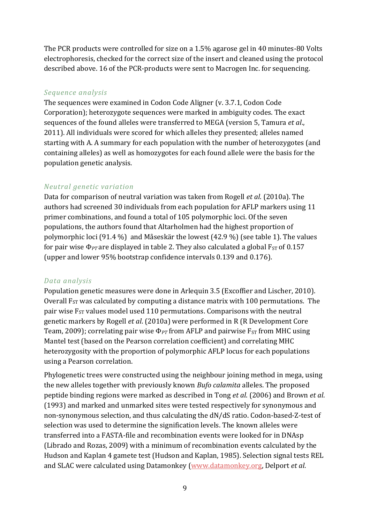The PCR products were controlled for size on a 1.5% agarose gel in 40 minutes-80 Volts electrophoresis, checked for the correct size of the insert and cleaned using the protocol described above. 16 of the PCR-products were sent to Macrogen Inc. for sequencing.

#### <span id="page-9-0"></span>*Sequence analysis*

The sequences were examined in Codon Code Aligner (v. 3.7.1, Codon Code Corporation); heterozygote sequences were marked in ambiguity codes. The exact sequences of the found alleles were transferred to MEGA (version 5, Tamura *et al*., 2011). All individuals were scored for which alleles they presented; alleles named starting with A. A summary for each population with the number of heterozygotes (and containing alleles) as well as homozygotes for each found allele were the basis for the population genetic analysis.

#### <span id="page-9-1"></span>*Neutral genetic variation*

Data for comparison of neutral variation was taken from Rogell *et al*. (2010a). The authors had screened 30 individuals from each population for AFLP markers using 11 primer combinations, and found a total of 105 polymorphic loci. Of the seven populations, the authors found that Altarholmen had the highest proportion of polymorphic loci (91.4 %) and Måseskär the lowest (42.9 %) (see table 1). The values for pair wise  $\Phi_{PT}$  are displayed in table 2. They also calculated a global  $F_{ST}$  of 0.157 (upper and lower 95% bootstrap confidence intervals 0.139 and 0.176).

#### <span id="page-9-2"></span>*Data analysis*

Population genetic measures were done in Arlequin 3.5 (Excoffier and Lischer, 2010). Overall  $F_{ST}$  was calculated by computing a distance matrix with 100 permutations. The pair wise  $F_{ST}$  values model used 110 permutations. Comparisons with the neutral genetic markers by Rogell *et al*. (2010a) were performed in R (R Development Core Team, 2009); correlating pair wise  $\Phi_{PT}$  from AFLP and pairwise  $F_{ST}$  from MHC using Mantel test (based on the Pearson correlation coefficient) and correlating MHC heterozygosity with the proportion of polymorphic AFLP locus for each populations using a Pearson correlation.

Phylogenetic trees were constructed using the neighbour joining method in mega, using the new alleles together with previously known *Bufo calamita* alleles. The proposed peptide binding regions were marked as described in Tong *et al*. (2006) and Brown *et al*. (1993) and marked and unmarked sites were tested respectively for synonymous and non-synonymous selection, and thus calculating the dN/dS ratio. Codon-based-Z-test of selection was used to determine the signification levels. The known alleles were transferred into a FASTA-file and recombination events were looked for in DNAsp (Librado and Rozas, 2009) with a minimum of recombination events calculated by the Hudson and Kaplan 4 gamete test (Hudson and Kaplan, 1985). Selection signal tests REL and SLAC were calculated using Datamonkey [\(www.datamonkey.org,](http://www.datamonkey.org/) Delport *et al*.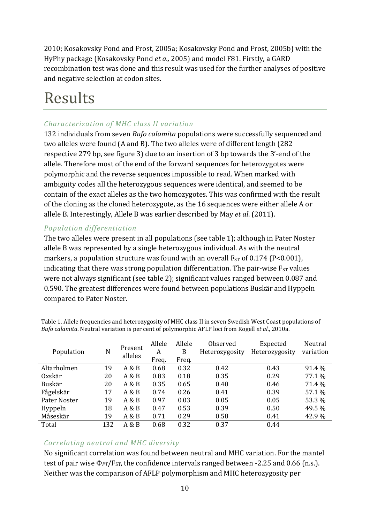2010; Kosakovsky Pond and Frost, 2005a; Kosakovsky Pond and Frost, 2005b) with the HyPhy package (Kosakovsky Pond *et a.,* 2005) and model F81. Firstly, a GARD recombination test was done and this result was used for the further analyses of positive and negative selection at codon sites.

### <span id="page-10-0"></span>Results

#### <span id="page-10-1"></span>*Characterization of MHC class II variation*

132 individuals from seven *Bufo calamita* populations were successfully sequenced and two alleles were found (A and B). The two alleles were of different length (282 respective 279 bp, see figure 3) due to an insertion of 3 bp towards the 3'-end of the allele. Therefore most of the end of the forward sequences for heterozygotes were polymorphic and the reverse sequences impossible to read. When marked with ambiguity codes all the heterozygous sequences were identical, and seemed to be contain of the exact alleles as the two homozygotes. This was confirmed with the result of the cloning as the cloned heterozygote, as the 16 sequences were either allele A or allele B. Interestingly, Allele B was earlier described by May *et al*. (2011).

#### <span id="page-10-2"></span>*Population differentiation*

The two alleles were present in all populations (see table 1); although in Pater Noster allele B was represented by a single heterozygous individual. As with the neutral markers, a population structure was found with an overall  $F_{ST}$  of 0.174 (P<0.001), indicating that there was strong population differentiation. The pair-wise  $F_{ST}$  values were not always significant (see table 2); significant values ranged between 0.087 and 0.590. The greatest differences were found between populations Buskär and Hyppeln compared to Pater Noster.

|              | N   | Present<br>alleles | Allele | Allele | Observed       | Expected       | Neutral   |
|--------------|-----|--------------------|--------|--------|----------------|----------------|-----------|
| Population   |     |                    | A      | B      | Heterozygosity | Heterozygosity | variation |
|              |     |                    | Freq.  | Freg.  |                |                |           |
| Altarholmen  | 19  | A & B              | 0.68   | 0.32   | 0.42           | 0.43           | 91.4 %    |
| Oxskär       | 20  | A & B              | 0.83   | 0.18   | 0.35           | 0.29           | 77.1 %    |
| Buskär       | 20  | A & B              | 0.35   | 0.65   | 0.40           | 0.46           | 71.4 %    |
| Fågelskär    | 17  | A & B              | 0.74   | 0.26   | 0.41           | 0.39           | 57.1 %    |
| Pater Noster | 19  | A & B              | 0.97   | 0.03   | 0.05           | 0.05           | 53.3 %    |
| Hyppeln      | 18  | A & B              | 0.47   | 0.53   | 0.39           | 0.50           | 49.5 %    |
| Måseskär     | 19  | A & B              | 0.71   | 0.29   | 0.58           | 0.41           | 42.9%     |
| Total        | 132 | A & B              | 0.68   | 0.32   | 0.37           | 0.44           |           |

Table 1. Allele frequencies and heterozygosity of MHC class II in seven Swedish West Coast populations of *Bufo calamita*. Neutral variation is per cent of polymorphic AFLP loci from Rogell *et al*., 2010a.

#### <span id="page-10-3"></span>*Correlating neutral and MHC diversity*

No significant correlation was found between neutral and MHC variation. For the mantel test of pair wise  $\Phi_{PT}/F_{ST}$ , the confidence intervals ranged between -2.25 and 0.66 (n.s.). Neither was the comparison of AFLP polymorphism and MHC heterozygosity per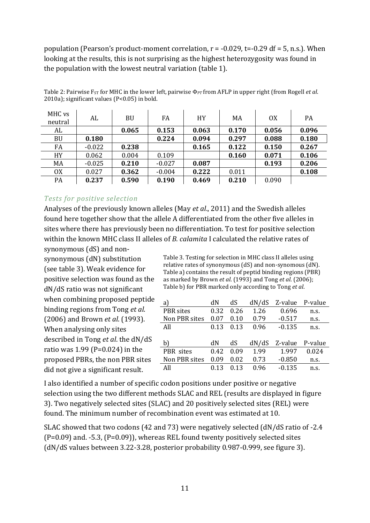population (Pearson's product-moment correlation,  $r = -0.029$ , t= $-0.29$  df = 5, n.s.). When looking at the results, this is not surprising as the highest heterozygosity was found in the population with the lowest neutral variation (table 1).

| MHC vs<br>neutral | AL       | <b>BU</b> | FA       | <b>HY</b> | MA    | 0X    | PA    |
|-------------------|----------|-----------|----------|-----------|-------|-------|-------|
| AL                |          | 0.065     | 0.153    | 0.063     | 0.170 | 0.056 | 0.096 |
| <b>BU</b>         | 0.180    |           | 0.224    | 0.094     | 0.297 | 0.088 | 0.180 |
| FA                | $-0.022$ | 0.238     |          | 0.165     | 0.122 | 0.150 | 0.267 |
| <b>HY</b>         | 0.062    | 0.004     | 0.109    |           | 0.160 | 0.071 | 0.106 |
| MA                | $-0.025$ | 0.210     | $-0.027$ | 0.087     |       | 0.193 | 0.206 |
| <b>OX</b>         | 0.027    | 0.362     | $-0.004$ | 0.222     | 0.011 |       | 0.108 |
| PA                | 0.237    | 0.590     | 0.190    | 0.469     | 0.210 | 0.090 |       |

Table 2: Pairwise F<sub>ST</sub> for MHC in the lower left, pairwise Φ<sub>PT</sub> from AFLP in upper right (from Rogell *et al.*) 2010a); significant values (P<0.05) in bold.

#### <span id="page-11-0"></span>*Tests for positive selection*

Analyses of the previously known alleles (May *et al*., 2011) and the Swedish alleles found here together show that the allele A differentiated from the other five alleles in sites where there has previously been no differentiation. To test for positive selection within the known MHC class II alleles of *B. calamita* I calculated the relative rates of

synonymous (dS) and nonsynonymous (dN) substitution (see table 3). Weak evidence for positive selection was found as the dN/dS ratio was not significant when combining proposed peptide binding regions from Tong *et al*. (2006) and Brown *et al*. (1993). When analysing only sites described in Tong *et al*. the dN/dS ratio was 1.99 (P=0.024) in the proposed PBRs, the non PBR sites did not give a significant result.

Table 3. Testing for selection in MHC class II alleles using relative rates of synonymous (dS) and non-synomous (dN). Table a) contains the result of peptid binding regions (PBR) as marked by Brown *et al*. (1993) and Tong *et al*. (2006); Table b) for PBR marked only according to Tong *et al*.

| a             | dN   | dS   | dN/dS | Z-value P-value |       |
|---------------|------|------|-------|-----------------|-------|
| PBR sites     | 0.32 | 0.26 | 1.26  | 0.696           | n.s.  |
| Non PBR sites | 0.07 | 0.10 | 0.79  | $-0.517$        | n.s.  |
| All           | 0.13 | 0.13 | 0.96  | $-0.135$        | n.s.  |
|               |      |      |       |                 |       |
| b)            | dN   | dS   | dN/dS | Z-value P-value |       |
| PBR sites     | 0.42 | 0.09 | 1.99  | 1.997           | 0.024 |
| Non PBR sites | 0.09 | 0.02 | 0.73  | $-0.850$        | n.s.  |
| All           | 0.13 | 0.13 | 0.96  | $-0.135$        | n.s.  |

I also identified a number of specific codon positions under positive or negative selection using the two different methods SLAC and REL (results are displayed in figure 3). Two negatively selected sites (SLAC) and 20 positively selected sites (REL) were found. The minimum number of recombination event was estimated at 10.

SLAC showed that two codons (42 and 73) were negatively selected (dN/dS ratio of -2.4  $(P=0.09)$  and.  $-5.3$ ,  $(P=0.09)$ , whereas REL found twenty positively selected sites (dN/dS values between 3.22-3.28, posterior probability 0.987-0.999, see figure 3).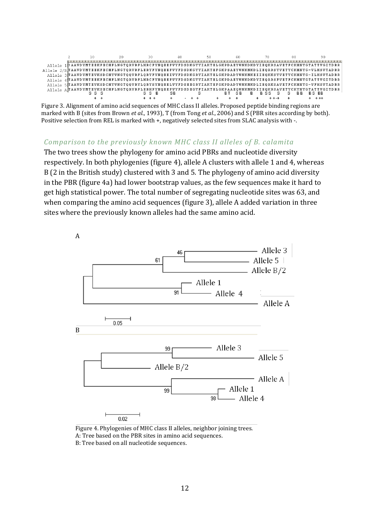

Figure 3. Alignment of amino acid sequences of MHC class II alleles. Proposed peptide binding regions are marked with B (sites from Brown *et al*., 1993), T (from Tong *et al*., 2006) and S (PBR sites according by both). Positive selection from REL is marked with +, negatively selected sites from SLAC analysis with -.

#### *Comparison to the previously known MHC class II alleles of B. calamita*

The two trees show the phylogeny for amino acid PBRs and nucleotide diversity respectively. In both phylogenies (figure 4), allele A clusters with allele 1 and 4, whereas B (2 in the British study) clustered with 3 and 5. The phylogeny of amino acid diversity in the PBR (figure 4a) had lower bootstrap values, as the few sequences make it hard to get high statistical power. The total number of segregating nucleotide sites was 63, and when comparing the amino acid sequences (figure 3), allele A added variation in three sites where the previously known alleles had the same amino acid.



Figure 4. Phylogenies of MHC class II alleles, neighbor joining trees. A: Tree based on the PBR sites in amino acid sequences. B: Tree based on all nucleotide sequences.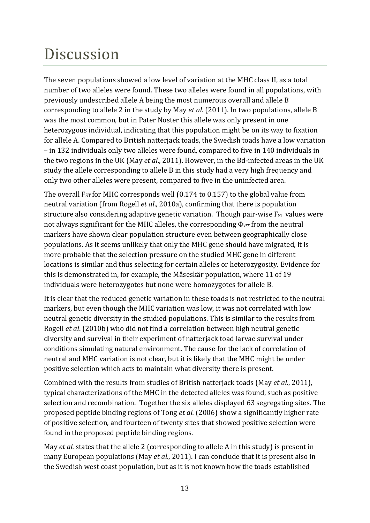### <span id="page-13-0"></span>Discussion

The seven populations showed a low level of variation at the MHC class II, as a total number of two alleles were found. These two alleles were found in all populations, with previously undescribed allele A being the most numerous overall and allele B corresponding to allele 2 in the study by May *et al.* (2011). In two populations, allele B was the most common, but in Pater Noster this allele was only present in one heterozygous individual, indicating that this population might be on its way to fixation for allele A. Compared to British natterjack toads, the Swedish toads have a low variation – in 132 individuals only two alleles were found, compared to five in 140 individuals in the two regions in the UK (May *et al*., 2011). However, in the Bd-infected areas in the UK study the allele corresponding to allele B in this study had a very high frequency and only two other alleles were present, compared to five in the uninfected area.

The overall  $F_{ST}$  for MHC corresponds well (0.174 to 0.157) to the global value from neutral variation (from Rogell *et al*., 2010a), confirming that there is population structure also considering adaptive genetic variation. Though pair-wise  $F_{ST}$  values were not always significant for the MHC alleles, the corresponding Φ*PT* from the neutral markers have shown clear population structure even between geographically close populations. As it seems unlikely that only the MHC gene should have migrated, it is more probable that the selection pressure on the studied MHC gene in different locations is similar and thus selecting for certain alleles or heterozygosity. Evidence for this is demonstrated in, for example, the Måseskär population, where 11 of 19 individuals were heterozygotes but none were homozygotes for allele B.

It is clear that the reduced genetic variation in these toads is not restricted to the neutral markers, but even though the MHC variation was low, it was not correlated with low neutral genetic diversity in the studied populations. This is similar to the results from Rogell *et al*. (2010b) who did not find a correlation between high neutral genetic diversity and survival in their experiment of natterjack toad larvae survival under conditions simulating natural environment. The cause for the lack of correlation of neutral and MHC variation is not clear, but it is likely that the MHC might be under positive selection which acts to maintain what diversity there is present.

Combined with the results from studies of British natterjack toads (May *et al.*, 2011), typical characterizations of the MHC in the detected alleles was found, such as positive selection and recombination. Together the six alleles displayed 63 segregating sites. The proposed peptide binding regions of Tong *et al.* (2006) show a significantly higher rate of positive selection, and fourteen of twenty sites that showed positive selection were found in the proposed peptide binding regions.

May *et al.* states that the allele 2 (corresponding to allele A in this study) is present in many European populations (May *et al*., 2011). I can conclude that it is present also in the Swedish west coast population, but as it is not known how the toads established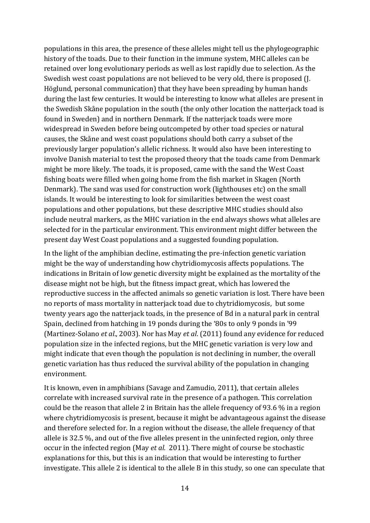populations in this area, the presence of these alleles might tell us the phylogeographic history of the toads. Due to their function in the immune system, MHC alleles can be retained over long evolutionary periods as well as lost rapidly due to selection. As the Swedish west coast populations are not believed to be very old, there is proposed (J. Höglund, personal communication) that they have been spreading by human hands during the last few centuries. It would be interesting to know what alleles are present in the Swedish Skåne population in the south (the only other location the natterjack toad is found in Sweden) and in northern Denmark. If the natterjack toads were more widespread in Sweden before being outcompeted by other toad species or natural causes, the Skåne and west coast populations should both carry a subset of the previously larger population's allelic richness. It would also have been interesting to involve Danish material to test the proposed theory that the toads came from Denmark might be more likely. The toads, it is proposed, came with the sand the West Coast fishing boats were filled when going home from the fish market in Skagen (North Denmark). The sand was used for construction work (lighthouses etc) on the small islands. It would be interesting to look for similarities between the west coast populations and other populations, but these descriptive MHC studies should also include neutral markers, as the MHC variation in the end always shows what alleles are selected for in the particular environment. This environment might differ between the present day West Coast populations and a suggested founding population.

In the light of the amphibian decline, estimating the pre-infection genetic variation might be the way of understanding how chytridiomycosis affects populations. The indications in Britain of low genetic diversity might be explained as the mortality of the disease might not be high, but the fitness impact great, which has lowered the reproductive success in the affected animals so genetic variation is lost. There have been no reports of mass mortality in natterjack toad due to chytridiomycosis, but some twenty years ago the natterjack toads, in the presence of Bd in a natural park in central Spain, declined from hatching in 19 ponds during the '80s to only 9 ponds in '99 (Martinez-Solano *et al*., 2003). Nor has May *et al*. (2011) found any evidence for reduced population size in the infected regions, but the MHC genetic variation is very low and might indicate that even though the population is not declining in number, the overall genetic variation has thus reduced the survival ability of the population in changing environment.

It is known, even in amphibians (Savage and Zamudio, 2011), that certain alleles correlate with increased survival rate in the presence of a pathogen. This correlation could be the reason that allele 2 in Britain has the allele frequency of 93.6 % in a region where chytridiomycosis is present, because it might be advantageous against the disease and therefore selected for. In a region without the disease, the allele frequency of that allele is 32.5 %, and out of the five alleles present in the uninfected region, only three occur in the infected region (May *et al.* 2011). There might of course be stochastic explanations for this, but this is an indication that would be interesting to further investigate. This allele 2 is identical to the allele B in this study, so one can speculate that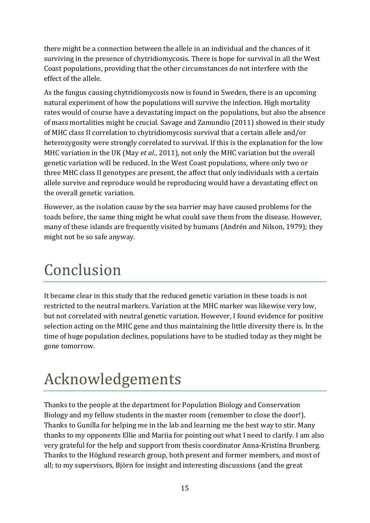there might be a connection between the allele in an individual and the chances of it surviving in the presence of chytridiomycosis. There is hope for survival in all the West Coast populations, providing that the other circumstances do not interfere with the effect of the allele.

As the fungus causing chytridiomycosis now is found in Sweden, there is an upcoming natural experiment of how the populations will survive the infection. High mortality rates would of course have a devastating impact on the populations, but also the absence of mass mortalities might be crucial. Savage and Zamundio (2011) showed in their study of MHC class II correlation to chytridiomycosis survival that a certain allele and/or heterozygosity were strongly correlated to survival. If this is the explanation for the low MHC variation in the UK (May *et al*., 2011), not only the MHC variation but the overall genetic variation will be reduced. In the West Coast populations, where only two or three MHC class II genotypes are present, the affect that only individuals with a certain allele survive and reproduce would be reproducing would have a devastating effect on the overall genetic variation.

However, as the isolation cause by the sea barrier may have caused problems for the toads before, the same thing might be what could save them from the disease. However, many of these islands are frequently visited by humans (Andrén and Nilson, 1979); they might not be so safe anyway.

### <span id="page-15-0"></span>Conclusion

It became clear in this study that the reduced genetic variation in these toads is not restricted to the neutral markers. Variation at the MHC marker was likewise very low, but not correlated with neutral genetic variation. However, I found evidence for positive selection acting on the MHC gene and thus maintaining the little diversity there is. In the time of huge population declines, populations have to be studied today as they might be gone tomorrow.

# <span id="page-15-1"></span>Acknowledgements

Thanks to the people at the department for Population Biology and Conservation Biology and my fellow students in the master room (remember to close the door!). Thanks to Gunilla for helping me in the lab and learning me the best way to stir. Many thanks to my opponents Ellie and Mariia for pointing out what I need to clarify. I am also very grateful for the help and support from thesis coordinator Anna-Kristina Brunberg. Thanks to the Höglund research group, both present and former members, and most of all; to my supervisors, Björn for insight and interesting discussions (and the great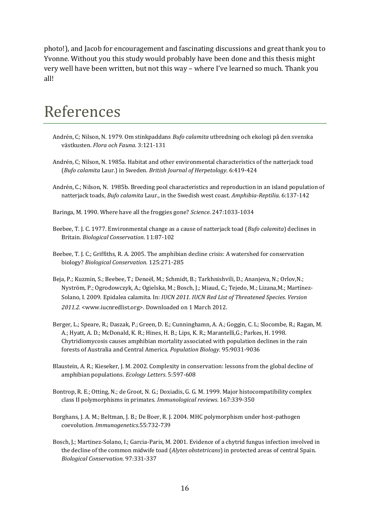photo!), and Jacob for encouragement and fascinating discussions and great thank you to Yvonne. Without you this study would probably have been done and this thesis might very well have been written, but not this way – where I've learned so much. Thank you all!

### <span id="page-16-0"></span>References

- Andrén, C; Nilson, N. 1979. Om stinkpaddans *Bufo calamita* utbredning och ekologi på den svenska västkusten. *Flora och Fauna*. 3:121-131
- Andrén, C; Nilson, N. 1985a. Habitat and other environmental characteristics of the natterjack toad (*Bufo calamita* Laur.) in Sweden. *British Journal of Herpetology*. 6:419-424
- Andrén, C.; Nilson, N. 1985b. Breeding pool characteristics and reproduction in an island population of natterjack toads, *Bufo calamita* Laur., in the Swedish west coast. *Amphibia-Reptilia*. 6:137-142
- Baringa, M. 1990. Where have all the froggies gone? *Science*. 247:1033-1034
- Beebee, T. J. C. 1977. Environmental change as a cause of natterjack toad (*Bufo calamita*) declines in Britain. *Biological Conservation*. 11:87-102
- Beebee, T. J. C.; Griffiths, R. A. 2005. The amphibian decline crisis: A watershed for conservation biology? *Biological Conservation*. 125:271-285
- Beja, P.; Kuzmin, S.; Beebee, T.; Denoël, M.; Schmidt, B.; Tarkhnishvili, D.; Ananjeva, N.; Orlov,N.; Nyström, P.; Ogrodowczyk, A.; Ogielska, M.; Bosch, J.; Miaud, C.; Tejedo, M.; Lizana,M.; Martínez-Solano, I. 2009. Epidalea calamita. In: *IUCN 2011. IUCN Red List of Threatened Species. Version 2011.2.* [<www.iucnredlist.org>](http://www.iucnredlist.org/). Downloaded on 1 March 2012.
- Berger, L.; Speare, R.; Daszak, P.; Green, D. E.; Cunninghamn, A. A.; Goggin, C. L; Slocombe, R.; Ragan, M. A.; Hyatt, A. D.; McDonald, K. R.; Hines, H. B.; Lips, K. R.; Marantelli,G.; Parkes, H. 1998. Chytridiomycosis causes amphibian mortality associated with population declines in the rain forests of Australia and Central America. *Population Biology.* 95:9031-9036
- Blaustein, A. R.; Kieseker, J. M. 2002. Complexity in conservation: lessons from the global decline of amphibian populations. *Ecology Letters*. 5:597-608
- Bontrop, R. E.; Otting, N.; de Groot, N. G.; Doxiadis, G. G. M. 1999. Major histocompatibility complex class II polymorphisms in primates. *Immunological reviews*. 167:339-350
- Borghans, J. A. M.; Beltman, J. B.; De Boer, R. J. 2004. MHC polymorphism under host-pathogen coevolution. *Immunogenetics*.55:732-739
- Bosch, J.; Martinez-Solano, I.; Garcia-Paris, M. 2001. Evidence of a chytrid fungus infection involved in the decline of the common midwife toad (*Alytes obstetricans*) in protected areas of central Spain. *Biological Conservation.* 97:331-337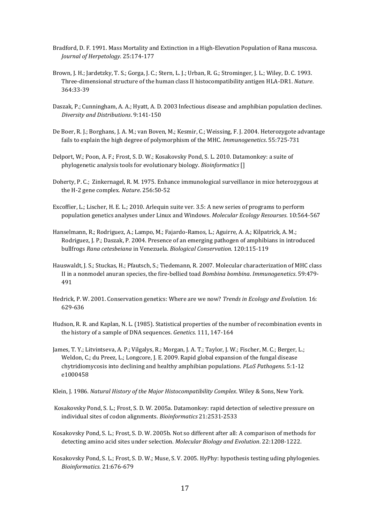- Bradford, D. F. 1991. Mass Mortality and Extinction in a High-Elevation Population of Rana muscosa. *Journal of Herpetology*. 25:174-177
- Brown, J. H.; Jardetzky, T. S.; Gorga, J. C.; Stern, L. J.; Urban, R. G.; Strominger, J. L.; Wiley, D. C. 1993. Three-dimensional structure of the human class II histocompatibility antigen HLA-DR1. *Nature*. 364:33-39
- Daszak, P.; Cunningham, A. A.; Hyatt, A. D. 2003 Infectious disease and amphibian population declines. *Diversity and Distributions*. 9:141-150
- De Boer, R. J.; Borghans, J. A. M.; van Boven, M.; Kesmir, C.; Weissing, F. J. 2004. Heterozygote advantage fails to explain the high degree of polymorphism of the MHC. *Immunogenetics*. 55:725-731
- Delport, W.; Poon, A. F.; Frost, S. D. W.; Kosakovsky Pond, S. L. 2010. Datamonkey: a suite of phylogenetic analysis tools for evolutionary biology. *Bioinformatics* []
- Doherty, P. C.; Zinkernagel, R. M. 1975. Enhance immunological surveillance in mice heterozygous at the H-2 gene complex. *Nature*. 256:50-52
- Excoffier, L.; Lischer, H. E. L.; 2010. Arlequin suite ver. 3.5: A new series of programs to perform population genetics analyses under Linux and Windows. *Molecular Ecology Resourses*. 10:564-567
- Hanselmann, R.; Rodriguez, A.; Lampo, M.; Fajardo-Ramos, L.; Aguirre, A. A.; Kilpatrick, A. M.; Rodriguez, J. P.; Daszak, P. 2004. Presence of an emerging pathogen of amphibians in introduced bullfrogs *Rana cetesbeiana* in Venezuela. *Biological Conservation*. 120:115-119
- Hauswaldt, J. S.; Stuckas, H.; Pfautsch, S.; Tiedemann, R. 2007. Molecular characterization of MHC class II in a nonmodel anuran species, the fire-bellied toad *Bombina bombina*. *Immunogenetics*. 59:479- 491
- Hedrick, P. W. 2001. Conservation genetics: Where are we now? *Trends in Ecology and Evolution.* 16: 629-636
- Hudson, R. R. and Kaplan, N. L. (1985). Statistical properties of the number of recombination events in the history of a sample of DNA sequences. *Genetics*. 111, 147-164
- James, T. Y.; Litvintseva, A. P.; Vilgalys, R.; Morgan, J. A. T.; Taylor, J. W.; Fischer, M. C.; Berger, L.; Weldon, C.; du Preez, L.; Longcore, J. E. 2009. Rapid global expansion of the fungal disease chytridiomycosis into declining and healthy amphibian populations. *PLoS Pathogens*. 5:1-12 e1000458
- Klein, J. 1986. *Natural History of the Major Histocompatibility Complex*. Wiley & Sons, New York.
- Kosakovsky Pond, S. L.; Frost, S. D. W. 2005a. Datamonkey: rapid detection of selective pressure on individual sites of codon alignments. *Bioinformatics* 21:2531-2533
- Kosakovsky Pond, S. L.; Frost, S. D. W. 2005b. Not so different after all: A comparison of methods for detecting amino acid sites under selection. *Molecular Biology and Evolution*. 22:1208-1222.
- Kosakovsky Pond, S. L.; Frost, S. D. W.; Muse, S. V. 2005. HyPhy: hypothesis testing uding phylogenies. *Bioinformatics*. 21:676-679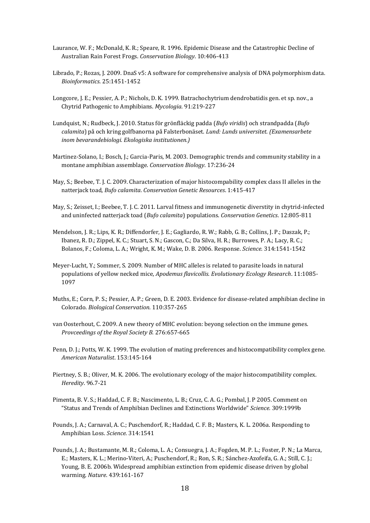- Laurance, W. F.; McDonald, K. R.; Speare, R. 1996. Epidemic Disease and the Catastrophic Decline of Australian Rain Forest Frogs. *Conservation Biology*. 10:406-413
- Librado, P.; Rozas, J. 2009. DnaS v5: A software for comprehensive analysis of DNA polymorphism data. *Bioinformatics*. 25:1451-1452
- Longcore, J. E.; Pessier, A. P.; Nichols, D. K. 1999. Batrachochytrium dendrobatidis gen. et sp. nov., a Chytrid Pathogenic to Amphibians. *Mycologia*. 91:219-227
- Lundquist, N.; Rudbeck, J. 2010. Status för grönfläckig padda (*Bufo viridis*) och strandpadda (*Bufo calamita*) på och kring golfbanorna på Falsterbonäset. *Lund: Lunds universitet. (Examensarbete inom bevarandebiologi. Ekologiska institutionen.)*
- Martinez-Solano, I.; Bosch, J.; Garcia-Paris, M. 2003. Demographic trends and community stability in a montane amphibian assemblage. *Conservation Biology*. 17:236-24
- May, S.; Beebee, T. J. C. 2009. Characterization of major histocompability complex class II alleles in the natterjack toad, *Bufo calamita*. *Conservation Genetic Resources*. 1:415-417
- May, S.; Zeisset, I.; Beebee, T. J. C. 2011. Larval fitness and immunogenetic diverstity in chytrid-infected and uninfected natterjack toad (*Bufo calamita*) populations. *Conservation Genetics*. 12:805-811
- Mendelson, J. R.; Lips, K. R.; Diffendorfer, J. E.; Gagliardo, R. W.; Rabb, G. B.; Collins, J. P.; Daszak, P.; Ibanez, R. D.; Zippel, K. C.; Stuart, S. N.; Gascon, C.; Da Silva, H. R.; Burrowes, P. A.; Lacy, R. C.; Bolanos, F.; Coloma, L. A.; Wright, K. M.; Wake, D. B. 2006. Response. *Science.* 314:1541-1542
- Meyer-Lucht, Y.; Sommer, S. 2009. Number of MHC alleles is related to parasite loads in natural populations of yellow necked mice, *Apodemus flavicollis. Evolutionary Ecology Research*. 11:1085- 1097
- Muths, E.; Corn, P. S.; Pessier, A. P.; Green, D. E. 2003. Evidence for disease-related amphibian decline in Colorado. *Biological Conservation*. 110:357-265
- van Oosterhout, C. 2009. A new theory of MHC evolution: beyong selection on the immune genes. *Provceedings of the Royal Society B.* 276:657-665
- Penn, D. J.; Potts, W. K. 1999. The evolution of mating preferences and histocompatibility complex gene. *American Naturalist*. 153:145-164
- Piertney, S. B.; Oliver, M. K. 2006. The evolutionary ecology of the major histocompatibility complex. *Heredity*. 96.7-21
- Pimenta, B. V. S.; Haddad, C. F. B.; Nascimento, L. B.; Cruz, C. A. G.; Pombal, J. P 2005. Comment on "Status and Trends of Amphibian Declines and Extinctions Worldwide" *Science.* 309:1999b
- Pounds, J. A.; Carnaval, A. C.; Puschendorf, R.; Haddad, C. F. B.; Masters, K. L. 2006a. Responding to Amphibian Loss. *Science*. 314:1541
- Pounds, J. A.; Bustamante, M. R.; Coloma, L. A.; Consuegra, J. A.; Fogden, M. P. L.; Foster, P. N.; La Marca, E.; Masters, K. L.; Merino-Viteri, A.; Puschendorf, R.; Ron, S. R.; Sánchez-Azofeifa, G. A.; Still, C. J.; Young, B. E. 2006b. Widespread amphibian extinction from epidemic disease driven by global warming. *Nature*. 439:161-167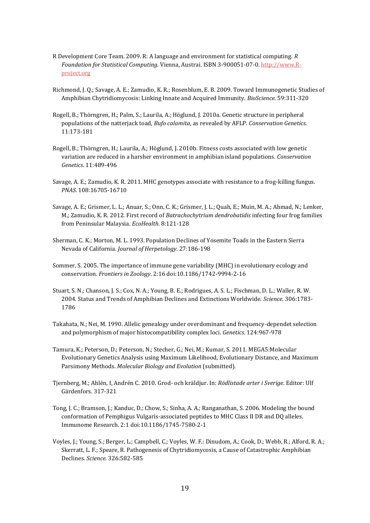- R Development Core Team. 2009. R: A language and environment for statistical computing. *R Foundation for Statistical Computing*. Vienna, Austrai. ISBN 3-900051-07-0[. http://www.R](http://www.r-project.org/)[project.org](http://www.r-project.org/)
- Richmond, J. Q.; Savage, A. E.; Zamudio, K. R.; Rosenblum, E. B. 2009. Toward Immunogenetic Studies of Amphibian Chytridiomycosis: Linking Innate and Acquired Immunity. *BioScience.* 59:311-320
- Rogell, B.; Thörngren, H.; Palm, S.; Laurila, A.; Höglund, J. 2010a. Genetic structure in peripheral populations of the natterjack toad, *Bufo calamita*, as revealed by AFLP. *Conservation Genetics.* 11:173-181
- Rogell, B.; Thörngren, H.; Laurila, A.; Höglund, J. 2010b. Fitness costs associated with low genetic variation are reduced in a harsher environment in amphibian island populations. *Conservation Genetics*. 11:489-496
- Savage, A. E.; Zamudio, K. R. 2011. MHC genotypes associate with resistance to a frog-killing fungus. *PNAS*. 108:16705-16710
- Savage, A. E.; Grismer, L. L.; Anuar, S.; Onn, C. K.; Grismer, J. L.; Quah, E.; Muin, M. A.; Ahmad, N.; Lenker, M.; Zamudio, K. R. 2012. First record of *Batrachochytrium dendrobatidis* infecting four frog families from Peninsular Malaysia. *EcoHealth.* 8:121-128
- Sherman, C. K.; Morton, M. L. 1993. Population Declines of Yosemite Toads in the Eastern Sierra Nevada of California. *Journal of Herpetology*. 27:186-198
- Sommer, S. 2005. The importance of immune gene variability (MHC) in evolutionary ecology and conservation. *Frontiers in Zoology*. 2:16 doi:10.1186/1742-9994-2-16
- Stuart, S. N.; Chanson, J. S.; Cox, N. A.; Young, B. E.; Rodrigues, A. S. L.; Fischman, D. L.; Waller, R. W. 2004. Status and Trends of Amphibian Declines and Extinctions Worldwide. *Science.* 306:1783- 1786
- Takahata, N.; Nei, M. 1990. Allelic genealogy under overdominant and frequency-dependet selection and polymorphism of major histocompatibility complex loci. *Genetics*. 124:967-978
- Tamura, K.; Peterson, D.; Peterson, N.; Stecher, G.; Nei, M.; Kumar, S. 2011. MEGA5:Molecular Evolutionary Genetics Analysis using Maximum Likelihood, Evolutionary Distance, and Maximum Parsimony Methods. *Molecular Biology and Evolution* (submitted).
- Tjernberg, M.; Ahlén, I, Andrén C. 2010. Grod- och kräldjur. In: *Rödlistade arter i Sverige*. Editor: Ulf Gärdenfors. 317-321
- Tong, J. C.; Bramson, J.; Kanduc, D.; Chow, S.; Sinha, A. A.; Ranganathan, S. 2006. Modeling the bound conformation of Pemphigus Vulgaris-associated peptides to MHC Class II DR and DQ alleles. Immunome Research. 2:1 doi:10.1186/1745-7580-2-1
- Voyles, J.; Young, S.; Berger, L.; Campbell, C.; Voyles, W. F.: Dinudom, A.; Cook, D.; Webb, R.; Alford, R. A.; Skerratt, L. F.; Speare, R. Pathogenesis of Chytridiomycosis, a Cause of Catastrophic Amphibian Declines*. Science.* 326:582-585